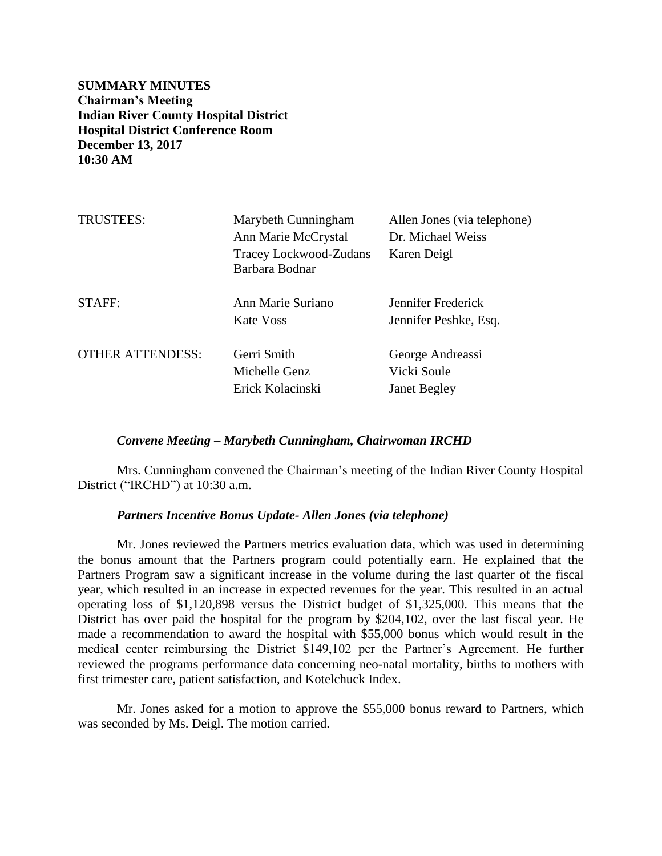**SUMMARY MINUTES Chairman's Meeting Indian River County Hospital District Hospital District Conference Room December 13, 2017 10:30 AM**

| <b>TRUSTEES:</b>        | Marybeth Cunningham<br>Ann Marie McCrystal<br>Tracey Lockwood-Zudans<br>Barbara Bodnar | Allen Jones (via telephone)<br>Dr. Michael Weiss<br>Karen Deigl |
|-------------------------|----------------------------------------------------------------------------------------|-----------------------------------------------------------------|
| STAFF:                  | Ann Marie Suriano<br>Kate Voss                                                         | Jennifer Frederick<br>Jennifer Peshke, Esq.                     |
| <b>OTHER ATTENDESS:</b> | Gerri Smith<br>Michelle Genz<br>Erick Kolacinski                                       | George Andreassi<br>Vicki Soule<br><b>Janet Begley</b>          |

### *Convene Meeting – Marybeth Cunningham, Chairwoman IRCHD*

Mrs. Cunningham convened the Chairman's meeting of the Indian River County Hospital District ("IRCHD") at 10:30 a.m.

### *Partners Incentive Bonus Update- Allen Jones (via telephone)*

Mr. Jones reviewed the Partners metrics evaluation data, which was used in determining the bonus amount that the Partners program could potentially earn. He explained that the Partners Program saw a significant increase in the volume during the last quarter of the fiscal year, which resulted in an increase in expected revenues for the year. This resulted in an actual operating loss of \$1,120,898 versus the District budget of \$1,325,000. This means that the District has over paid the hospital for the program by \$204,102, over the last fiscal year. He made a recommendation to award the hospital with \$55,000 bonus which would result in the medical center reimbursing the District \$149,102 per the Partner's Agreement. He further reviewed the programs performance data concerning neo-natal mortality, births to mothers with first trimester care, patient satisfaction, and Kotelchuck Index.

Mr. Jones asked for a motion to approve the \$55,000 bonus reward to Partners, which was seconded by Ms. Deigl. The motion carried.